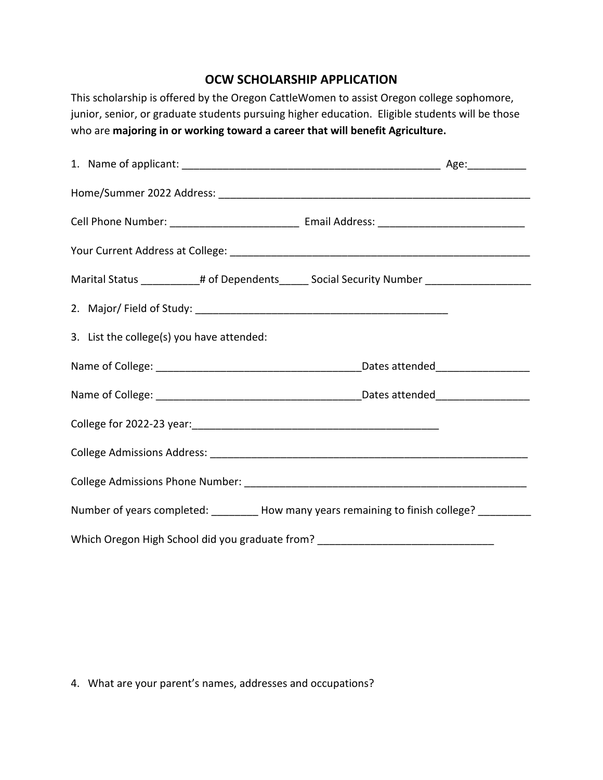## **OCW SCHOLARSHIP APPLICATION**

This scholarship is offered by the Oregon CattleWomen to assist Oregon college sophomore, junior, senior, or graduate students pursuing higher education. Eligible students will be those who are **majoring in or working toward a career that will benefit Agriculture.**

|  |                                           |  | Marital Status ___________# of Dependents______ Social Security Number _________________    |  |
|--|-------------------------------------------|--|---------------------------------------------------------------------------------------------|--|
|  |                                           |  |                                                                                             |  |
|  | 3. List the college(s) you have attended: |  |                                                                                             |  |
|  |                                           |  |                                                                                             |  |
|  |                                           |  |                                                                                             |  |
|  |                                           |  |                                                                                             |  |
|  |                                           |  |                                                                                             |  |
|  |                                           |  |                                                                                             |  |
|  |                                           |  | Number of years completed: _________ How many years remaining to finish college? __________ |  |
|  |                                           |  | Which Oregon High School did you graduate from? ________________________________            |  |

4. What are your parent's names, addresses and occupations?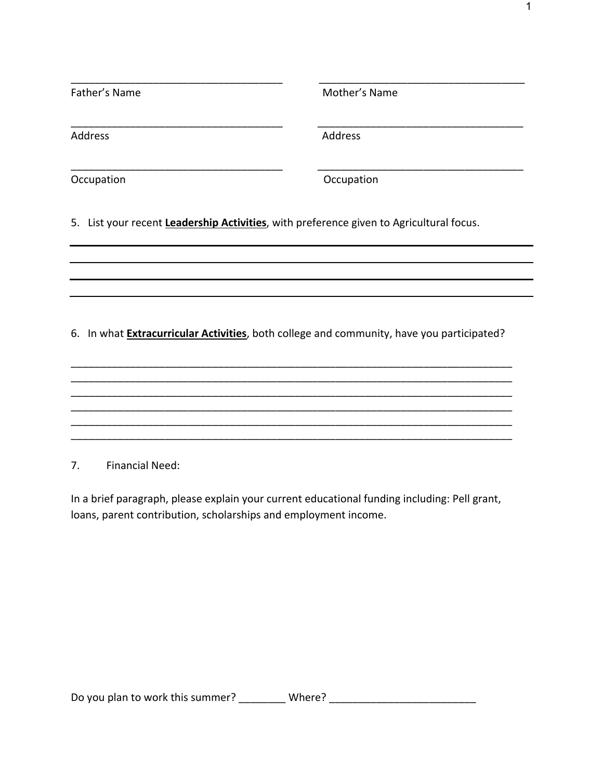| Father's Name                                                                                     | Mother's Name |  |  |  |  |
|---------------------------------------------------------------------------------------------------|---------------|--|--|--|--|
| Address                                                                                           | Address       |  |  |  |  |
| Occupation                                                                                        | Occupation    |  |  |  |  |
| 5. List your recent Leadership Activities, with preference given to Agricultural focus.           |               |  |  |  |  |
|                                                                                                   |               |  |  |  |  |
|                                                                                                   |               |  |  |  |  |
| 6. In what <b>Extracurricular Activities</b> , both college and community, have you participated? |               |  |  |  |  |
|                                                                                                   |               |  |  |  |  |

7. Financial Need:

In a brief paragraph, please explain your current educational funding including: Pell grant, loans, parent contribution, scholarships and employment income.

\_\_\_\_\_\_\_\_\_\_\_\_\_\_\_\_\_\_\_\_\_\_\_\_\_\_\_\_\_\_\_\_\_\_\_\_\_\_\_\_\_\_\_\_\_\_\_\_\_\_\_\_\_\_\_\_\_\_\_\_\_\_\_\_\_\_\_\_\_\_\_\_\_\_\_ \_\_\_\_\_\_\_\_\_\_\_\_\_\_\_\_\_\_\_\_\_\_\_\_\_\_\_\_\_\_\_\_\_\_\_\_\_\_\_\_\_\_\_\_\_\_\_\_\_\_\_\_\_\_\_\_\_\_\_\_\_\_\_\_\_\_\_\_\_\_\_\_\_\_\_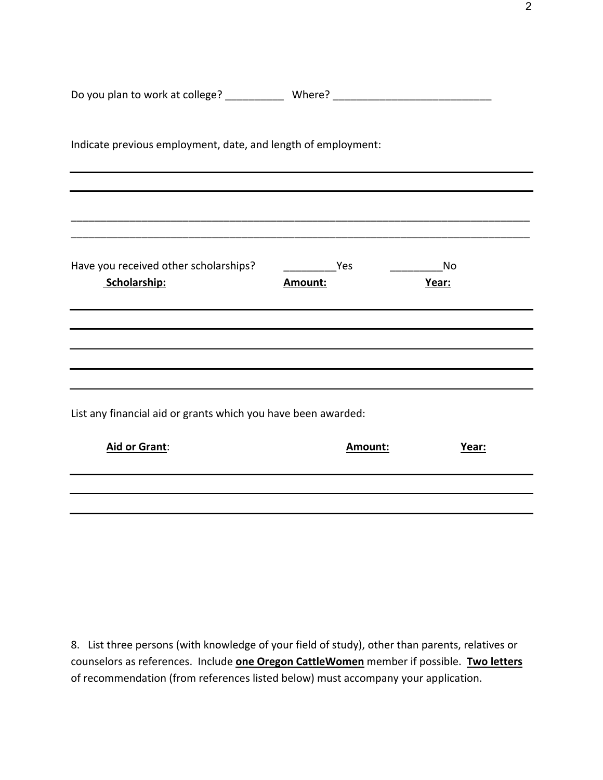| Do you plan to work at college? ______________ Where? __________________________ |                                  |             |  |
|----------------------------------------------------------------------------------|----------------------------------|-------------|--|
| Indicate previous employment, date, and length of employment:                    |                                  |             |  |
|                                                                                  |                                  |             |  |
| Have you received other scholarships?<br>Scholarship:                            | <b>Example 19 Yes</b><br>Amount: | No<br>Year: |  |
|                                                                                  |                                  |             |  |
|                                                                                  |                                  |             |  |
| List any financial aid or grants which you have been awarded:                    |                                  |             |  |
| Aid or Grant:                                                                    | Amount:                          | Year:       |  |
|                                                                                  |                                  |             |  |
|                                                                                  |                                  |             |  |

8. List three persons (with knowledge of your field of study), other than parents, relatives or counselors as references. Include **one Oregon CattleWomen** member if possible. **Two letters** of recommendation (from references listed below) must accompany your application.